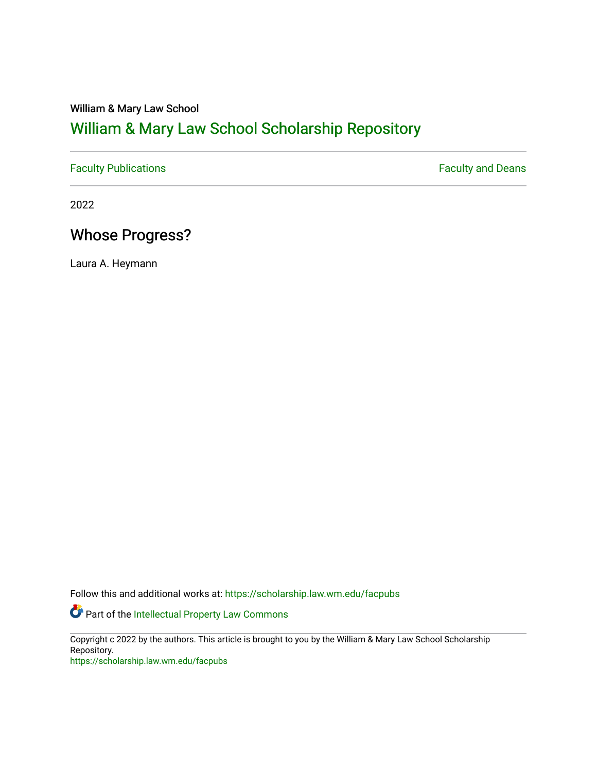### William & Mary Law School

# [William & Mary Law School Scholarship Repository](https://scholarship.law.wm.edu/)

[Faculty Publications](https://scholarship.law.wm.edu/facpubs) **Faculty Publications** 

2022

## Whose Progress?

Laura A. Heymann

Follow this and additional works at: [https://scholarship.law.wm.edu/facpubs](https://scholarship.law.wm.edu/facpubs?utm_source=scholarship.law.wm.edu%2Ffacpubs%2F2072&utm_medium=PDF&utm_campaign=PDFCoverPages)

**Part of the Intellectual Property Law Commons** 

Copyright c 2022 by the authors. This article is brought to you by the William & Mary Law School Scholarship Repository. <https://scholarship.law.wm.edu/facpubs>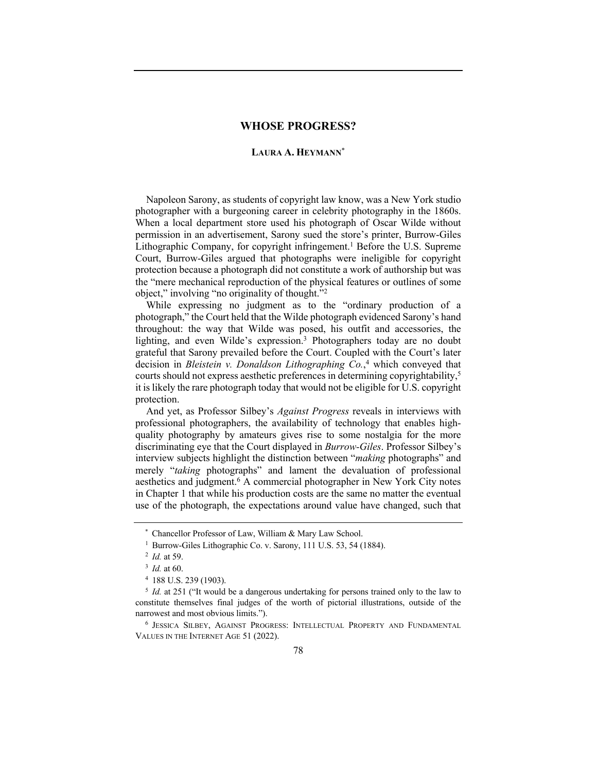### **WHOSE PROGRESS?**

### **LAURA A. HEYMANN**\*

Napoleon Sarony, as students of copyright law know, was a New York studio photographer with a burgeoning career in celebrity photography in the 1860s. When a local department store used his photograph of Oscar Wilde without permission in an advertisement, Sarony sued the store's printer, Burrow-Giles Lithographic Company, for copyright infringement.<sup>1</sup> Before the U.S. Supreme Court, Burrow-Giles argued that photographs were ineligible for copyright protection because a photograph did not constitute a work of authorship but was the "mere mechanical reproduction of the physical features or outlines of some object," involving "no originality of thought."2

While expressing no judgment as to the "ordinary production of a photograph," the Court held that the Wilde photograph evidenced Sarony's hand throughout: the way that Wilde was posed, his outfit and accessories, the lighting, and even Wilde's expression.3 Photographers today are no doubt grateful that Sarony prevailed before the Court. Coupled with the Court's later decision in *Bleistein v. Donaldson Lithographing Co.*, <sup>4</sup> which conveyed that courts should not express aesthetic preferences in determining copyrightability,5 it is likely the rare photograph today that would not be eligible for U.S. copyright protection.

And yet, as Professor Silbey's *Against Progress* reveals in interviews with professional photographers, the availability of technology that enables highquality photography by amateurs gives rise to some nostalgia for the more discriminating eye that the Court displayed in *Burrow-Giles*. Professor Silbey's interview subjects highlight the distinction between "*making* photographs" and merely "*taking* photographs" and lament the devaluation of professional aesthetics and judgment.6 A commercial photographer in New York City notes in Chapter 1 that while his production costs are the same no matter the eventual use of the photograph, the expectations around value have changed, such that

<sup>\*</sup> Chancellor Professor of Law, William & Mary Law School.

<sup>&</sup>lt;sup>1</sup> Burrow-Giles Lithographic Co. v. Sarony, 111 U.S. 53, 54 (1884).

<sup>2</sup> *Id.* at 59.

<sup>3</sup> *Id.* at 60.

<sup>4</sup> 188 U.S. 239 (1903).

<sup>&</sup>lt;sup>5</sup> *Id.* at 251 ("It would be a dangerous undertaking for persons trained only to the law to constitute themselves final judges of the worth of pictorial illustrations, outside of the narrowest and most obvious limits.").

<sup>6</sup> JESSICA SILBEY, AGAINST PROGRESS: INTELLECTUAL PROPERTY AND FUNDAMENTAL VALUES IN THE INTERNET AGE 51 (2022).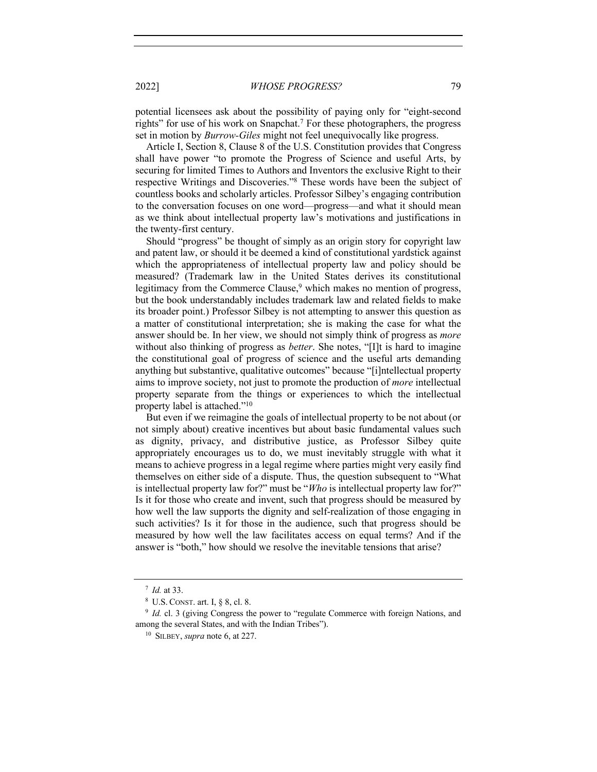2022] *WHOSE PROGRESS?* 79

potential licensees ask about the possibility of paying only for "eight-second rights" for use of his work on Snapchat.<sup>7</sup> For these photographers, the progress set in motion by *Burrow-Giles* might not feel unequivocally like progress.

Article I, Section 8, Clause 8 of the U.S. Constitution provides that Congress shall have power "to promote the Progress of Science and useful Arts, by securing for limited Times to Authors and Inventors the exclusive Right to their respective Writings and Discoveries."8 These words have been the subject of countless books and scholarly articles. Professor Silbey's engaging contribution to the conversation focuses on one word—progress—and what it should mean as we think about intellectual property law's motivations and justifications in the twenty-first century.

Should "progress" be thought of simply as an origin story for copyright law and patent law, or should it be deemed a kind of constitutional yardstick against which the appropriateness of intellectual property law and policy should be measured? (Trademark law in the United States derives its constitutional legitimacy from the Commerce Clause,<sup>9</sup> which makes no mention of progress, but the book understandably includes trademark law and related fields to make its broader point.) Professor Silbey is not attempting to answer this question as a matter of constitutional interpretation; she is making the case for what the answer should be. In her view, we should not simply think of progress as *more*  without also thinking of progress as *better*. She notes, "[I]t is hard to imagine the constitutional goal of progress of science and the useful arts demanding anything but substantive, qualitative outcomes" because "[i]ntellectual property aims to improve society, not just to promote the production of *more* intellectual property separate from the things or experiences to which the intellectual property label is attached."10

But even if we reimagine the goals of intellectual property to be not about (or not simply about) creative incentives but about basic fundamental values such as dignity, privacy, and distributive justice, as Professor Silbey quite appropriately encourages us to do, we must inevitably struggle with what it means to achieve progress in a legal regime where parties might very easily find themselves on either side of a dispute. Thus, the question subsequent to "What is intellectual property law for?" must be "*Who* is intellectual property law for?" Is it for those who create and invent, such that progress should be measured by how well the law supports the dignity and self-realization of those engaging in such activities? Is it for those in the audience, such that progress should be measured by how well the law facilitates access on equal terms? And if the answer is "both," how should we resolve the inevitable tensions that arise?

<sup>7</sup> *Id.* at 33.

<sup>8</sup> U.S. CONST. art. I, § 8, cl. 8.

<sup>&</sup>lt;sup>9</sup> *Id.* cl. 3 (giving Congress the power to "regulate Commerce with foreign Nations, and among the several States, and with the Indian Tribes").

<sup>10</sup> SILBEY, *supra* note 6, at 227.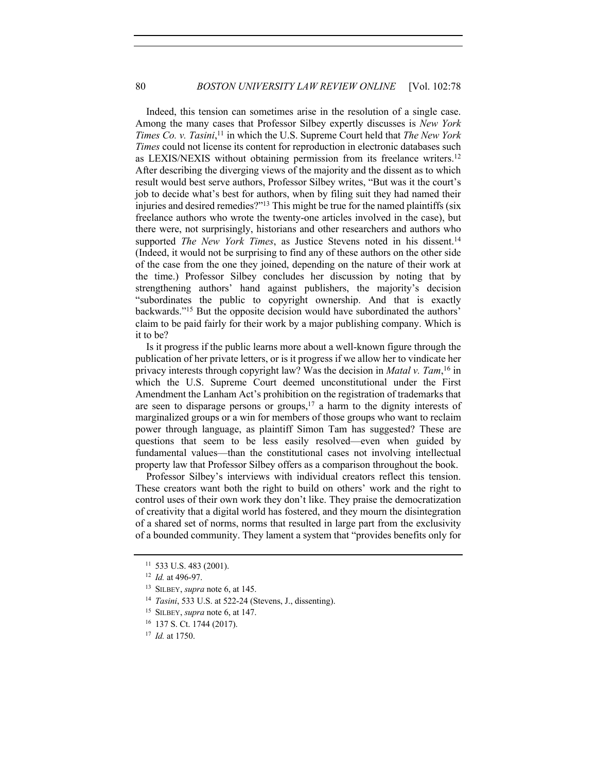Indeed, this tension can sometimes arise in the resolution of a single case. Among the many cases that Professor Silbey expertly discusses is *New York Times Co. v. Tasini*, <sup>11</sup> in which the U.S. Supreme Court held that *The New York Times* could not license its content for reproduction in electronic databases such as LEXIS/NEXIS without obtaining permission from its freelance writers.12 After describing the diverging views of the majority and the dissent as to which result would best serve authors, Professor Silbey writes, "But was it the court's job to decide what's best for authors, when by filing suit they had named their injuries and desired remedies?"13 This might be true for the named plaintiffs (six freelance authors who wrote the twenty-one articles involved in the case), but there were, not surprisingly, historians and other researchers and authors who supported *The New York Times*, as Justice Stevens noted in his dissent.<sup>14</sup> (Indeed, it would not be surprising to find any of these authors on the other side of the case from the one they joined, depending on the nature of their work at the time.) Professor Silbey concludes her discussion by noting that by strengthening authors' hand against publishers, the majority's decision "subordinates the public to copyright ownership. And that is exactly backwards."15 But the opposite decision would have subordinated the authors' claim to be paid fairly for their work by a major publishing company. Which is it to be?

Is it progress if the public learns more about a well-known figure through the publication of her private letters, or is it progress if we allow her to vindicate her privacy interests through copyright law? Was the decision in *Matal v. Tam*, <sup>16</sup> in which the U.S. Supreme Court deemed unconstitutional under the First Amendment the Lanham Act's prohibition on the registration of trademarks that are seen to disparage persons or groups, $17$  a harm to the dignity interests of marginalized groups or a win for members of those groups who want to reclaim power through language, as plaintiff Simon Tam has suggested? These are questions that seem to be less easily resolved—even when guided by fundamental values—than the constitutional cases not involving intellectual property law that Professor Silbey offers as a comparison throughout the book.

Professor Silbey's interviews with individual creators reflect this tension. These creators want both the right to build on others' work and the right to control uses of their own work they don't like. They praise the democratization of creativity that a digital world has fostered, and they mourn the disintegration of a shared set of norms, norms that resulted in large part from the exclusivity of a bounded community. They lament a system that "provides benefits only for

<sup>11</sup> 533 U.S. 483 (2001).

<sup>12</sup> *Id.* at 496-97.

<sup>13</sup> SILBEY, *supra* note 6, at 145.

<sup>14</sup> *Tasini*, 533 U.S. at 522-24 (Stevens, J., dissenting).

<sup>15</sup> SILBEY, *supra* note 6, at 147.

<sup>16</sup> 137 S. Ct. 1744 (2017).

<sup>17</sup> *Id.* at 1750.